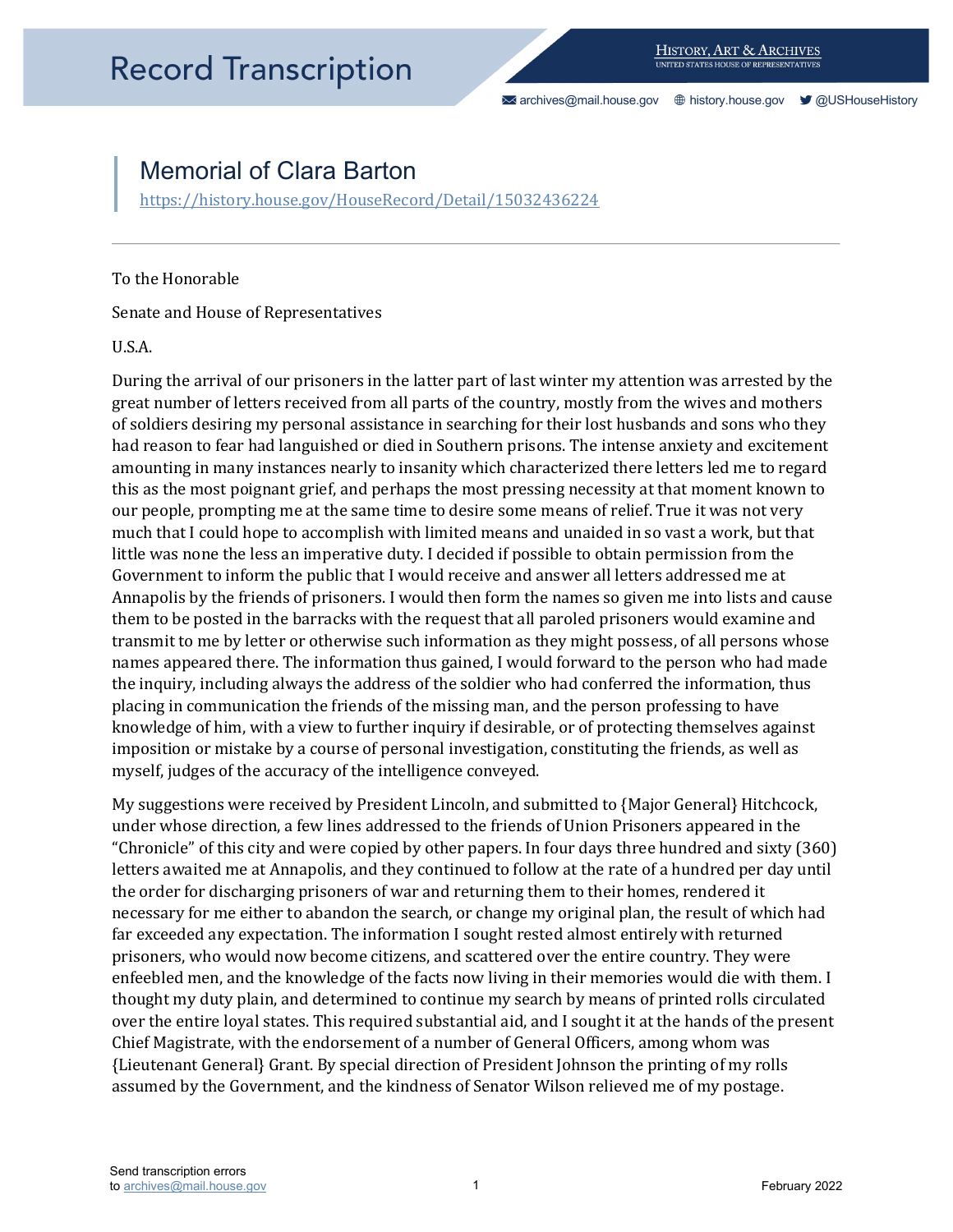[archives@mail.house.gov](mailto:archives@mail.house.gov) [history.house.gov](https://history.house.gov/) [@USHouseHistory](https://twitter.com/ushousehistory/) 

## Memorial of Clara Barton

https://history.house.gov/HouseRecord/Detail/15032436224<br>To the Honorable

Senate and House of Representatives

U.S.A.

 During the arrival of our prisoners in the latter part of last winter my attention was arrested by the great number of letters received from all parts of the country, mostly from the wives and mothers much that I could hope to accomplish with limited means and unaided in so vast a work, but that Government to inform the public that I would receive and answer all letters addressed me at Annapolis by the friends of prisoners. I would then form the names so given me into lists and cause transmit to me by letter or otherwise such information as they might possess, of all persons whose of soldiers desiring my personal assistance in searching for their lost husbands and sons who they had reason to fear had languished or died in Southern prisons. The intense anxiety and excitement amounting in many instances nearly to insanity which characterized there letters led me to regard this as the most poignant grief, and perhaps the most pressing necessity at that moment known to our people, prompting me at the same time to desire some means of relief. True it was not very little was none the less an imperative duty. I decided if possible to obtain permission from the them to be posted in the barracks with the request that all paroled prisoners would examine and names appeared there. The information thus gained, I would forward to the person who had made the inquiry, including always the address of the soldier who had conferred the information, thus placing in communication the friends of the missing man, and the person professing to have knowledge of him, with a view to further inquiry if desirable, or of protecting themselves against imposition or mistake by a course of personal investigation, constituting the friends, as well as myself, judges of the accuracy of the intelligence conveyed.

 My suggestions were received by President Lincoln, and submitted to {Major General} Hitchcock, the order for discharging prisoners of war and returning them to their homes, rendered it necessary for me either to abandon the search, or change my original plan, the result of which had thought my duty plain, and determined to continue my search by means of printed rolls circulated under whose direction, a few lines addressed to the friends of Union Prisoners appeared in the "Chronicle" of this city and were copied by other papers. In four days three hundred and sixty (360) letters awaited me at Annapolis, and they continued to follow at the rate of a hundred per day until far exceeded any expectation. The information I sought rested almost entirely with returned prisoners, who would now become citizens, and scattered over the entire country. They were enfeebled men, and the knowledge of the facts now living in their memories would die with them. I over the entire loyal states. This required substantial aid, and I sought it at the hands of the present Chief Magistrate, with the endorsement of a number of General Officers, among whom was {Lieutenant General} Grant. By special direction of President Johnson the printing of my rolls assumed by the Government, and the kindness of Senator Wilson relieved me of my postage.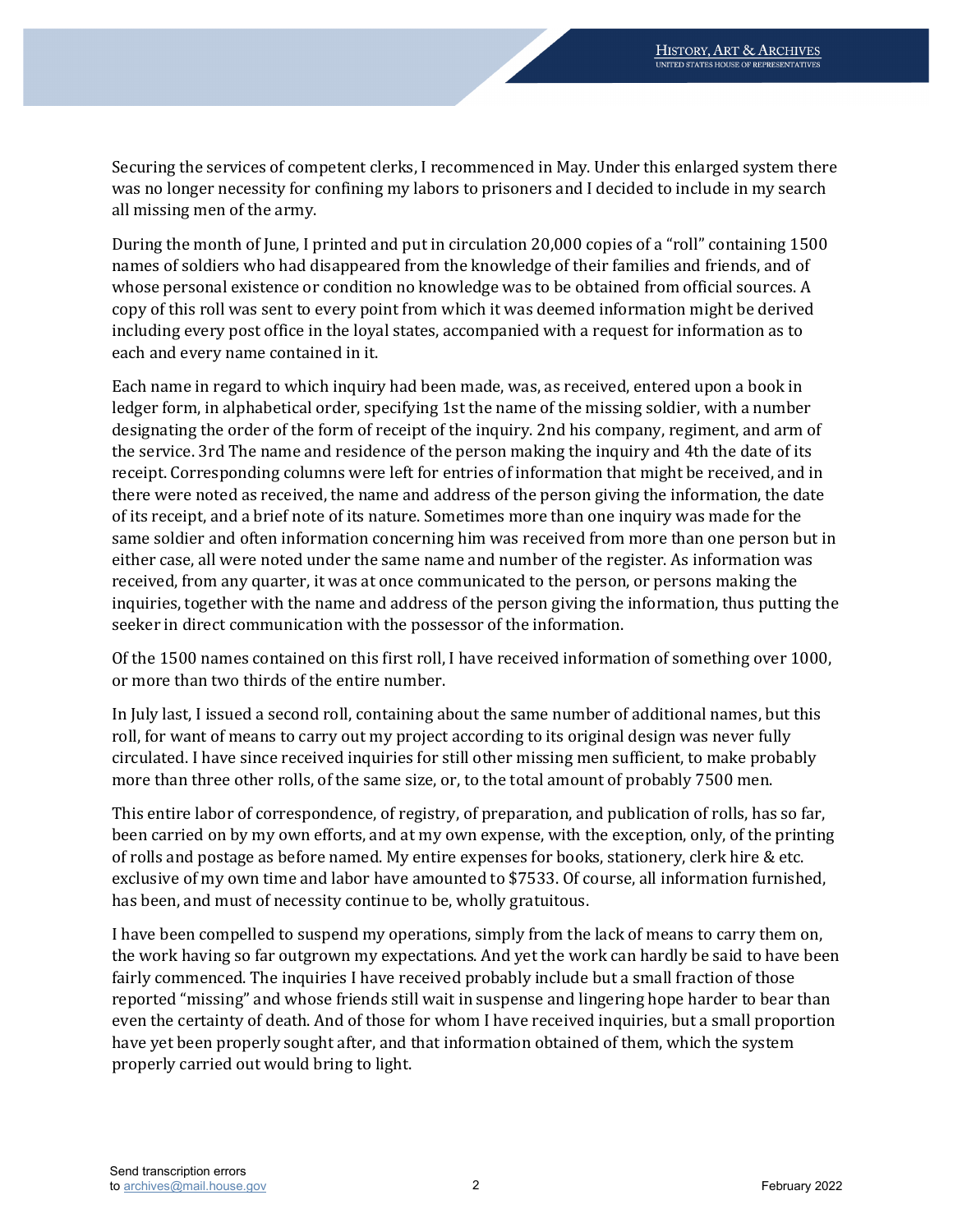was no longer necessity for confining my labors to prisoners and I decided to include in my search Securing the services of competent clerks, I recommenced in May. Under this enlarged system there all missing men of the army.

During the month of June, I printed and put in circulation 20,000 copies of a "roll" containing 1500 names of soldiers who had disappeared from the knowledge of their families and friends, and of whose personal existence or condition no knowledge was to be obtained from official sources. A copy of this roll was sent to every point from which it was deemed information might be derived including every post office in the loyal states, accompanied with a request for information as to each and every name contained in it.

Each name in regard to which inquiry had been made, was, as received, entered upon a book in ledger form, in alphabetical order, specifying 1st the name of the missing soldier, with a number designating the order of the form of receipt of the inquiry. 2nd his company, regiment, and arm of the service. 3rd The name and residence of the person making the inquiry and 4th the date of its receipt. Corresponding columns were left for entries of information that might be received, and in there were noted as received, the name and address of the person giving the information, the date of its receipt, and a brief note of its nature. Sometimes more than one inquiry was made for the same soldier and often information concerning him was received from more than one person but in either case, all were noted under the same name and number of the register. As information was received, from any quarter, it was at once communicated to the person, or persons making the inquiries, together with the name and address of the person giving the information, thus putting the seeker in direct communication with the possessor of the information.

 Of the 1500 names contained on this first roll, I have received information of something over 1000, or more than two thirds of the entire number.

 roll, for want of means to carry out my project according to its original design was never fully In July last, I issued a second roll, containing about the same number of additional names, but this circulated. I have since received inquiries for still other missing men sufficient, to make probably more than three other rolls, of the same size, or, to the total amount of probably 7500 men.

This entire labor of correspondence, of registry, of preparation, and publication of rolls, has so far, been carried on by my own efforts, and at my own expense, with the exception, only, of the printing of rolls and postage as before named. My entire expenses for books, stationery, clerk hire & etc. exclusive of my own time and labor have amounted to \$7533. Of course, all information furnished, has been, and must of necessity continue to be, wholly gratuitous.

 the work having so far outgrown my expectations. And yet the work can hardly be said to have been have yet been properly sought after, and that information obtained of them, which the system I have been compelled to suspend my operations, simply from the lack of means to carry them on, fairly commenced. The inquiries I have received probably include but a small fraction of those reported "missing" and whose friends still wait in suspense and lingering hope harder to bear than even the certainty of death. And of those for whom I have received inquiries, but a small proportion properly carried out would bring to light.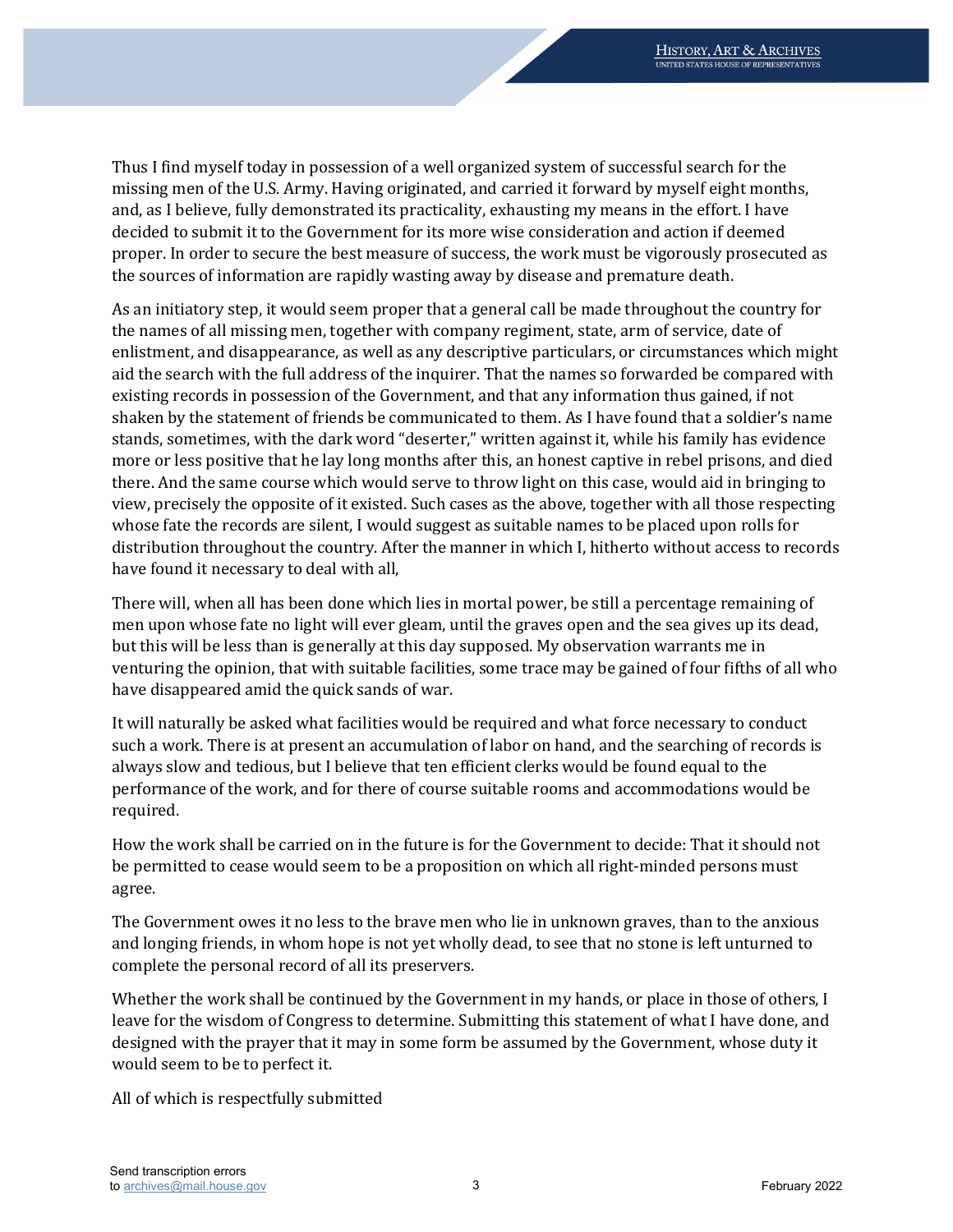and, as I believe, fully demonstrated its practicality, exhausting my means in the effort. I have proper. In order to secure the best measure of success, the work must be vigorously prosecuted as Thus I find myself today in possession of a well organized system of successful search for the missing men of the U.S. Army. Having originated, and carried it forward by myself eight months, decided to submit it to the Government for its more wise consideration and action if deemed the sources of information are rapidly wasting away by disease and premature death.

 more or less positive that he lay long months after this, an honest captive in rebel prisons, and died whose fate the records are silent, I would suggest as suitable names to be placed upon rolls for As an initiatory step, it would seem proper that a general call be made throughout the country for the names of all missing men, together with company regiment, state, arm of service, date of enlistment, and disappearance, as well as any descriptive particulars, or circumstances which might aid the search with the full address of the inquirer. That the names so forwarded be compared with existing records in possession of the Government, and that any information thus gained, if not shaken by the statement of friends be communicated to them. As I have found that a soldier's name stands, sometimes, with the dark word "deserter," written against it, while his family has evidence there. And the same course which would serve to throw light on this case, would aid in bringing to view, precisely the opposite of it existed. Such cases as the above, together with all those respecting distribution throughout the country. After the manner in which I, hitherto without access to records have found it necessary to deal with all,

 venturing the opinion, that with suitable facilities, some trace may be gained of four fifths of all who There will, when all has been done which lies in mortal power, be still a percentage remaining of men upon whose fate no light will ever gleam, until the graves open and the sea gives up its dead, but this will be less than is generally at this day supposed. My observation warrants me in have disappeared amid the quick sands of war.

It will naturally be asked what facilities would be required and what force necessary to conduct such a work. There is at present an accumulation of labor on hand, and the searching of records is always slow and tedious, but I believe that ten efficient clerks would be found equal to the performance of the work, and for there of course suitable rooms and accommodations would be required.

How the work shall be carried on in the future is for the Government to decide: That it should not be permitted to cease would seem to be a proposition on which all right-minded persons must agree.

 The Government owes it no less to the brave men who lie in unknown graves, than to the anxious and longing friends, in whom hope is not yet wholly dead, to see that no stone is left unturned to complete the personal record of all its preservers.

Whether the work shall be continued by the Government in my hands, or place in those of others, I leave for the wisdom of Congress to determine. Submitting this statement of what I have done, and designed with the prayer that it may in some form be assumed by the Government, whose duty it would seem to be to perfect it.

All of which is respectfully submitted